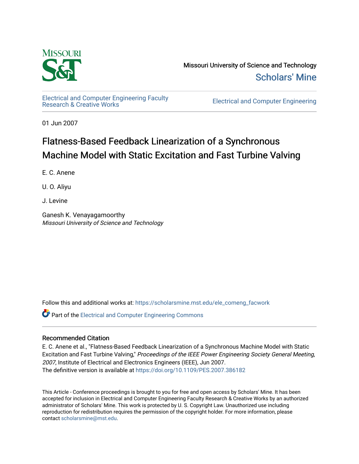

Missouri University of Science and Technology [Scholars' Mine](https://scholarsmine.mst.edu/) 

[Electrical and Computer Engineering Faculty](https://scholarsmine.mst.edu/ele_comeng_facwork)<br>Research & Creative Works

**Electrical and Computer Engineering** 

01 Jun 2007

# Flatness-Based Feedback Linearization of a Synchronous Machine Model with Static Excitation and Fast Turbine Valving

E. C. Anene

U. O. Aliyu

J. Levine

Ganesh K. Venayagamoorthy Missouri University of Science and Technology

Follow this and additional works at: [https://scholarsmine.mst.edu/ele\\_comeng\\_facwork](https://scholarsmine.mst.edu/ele_comeng_facwork?utm_source=scholarsmine.mst.edu%2Fele_comeng_facwork%2F711&utm_medium=PDF&utm_campaign=PDFCoverPages)

**C** Part of the Electrical and Computer Engineering Commons

### Recommended Citation

E. C. Anene et al., "Flatness-Based Feedback Linearization of a Synchronous Machine Model with Static Excitation and Fast Turbine Valving," Proceedings of the IEEE Power Engineering Society General Meeting, 2007, Institute of Electrical and Electronics Engineers (IEEE), Jun 2007. The definitive version is available at <https://doi.org/10.1109/PES.2007.386182>

This Article - Conference proceedings is brought to you for free and open access by Scholars' Mine. It has been accepted for inclusion in Electrical and Computer Engineering Faculty Research & Creative Works by an authorized administrator of Scholars' Mine. This work is protected by U. S. Copyright Law. Unauthorized use including reproduction for redistribution requires the permission of the copyright holder. For more information, please contact [scholarsmine@mst.edu](mailto:scholarsmine@mst.edu).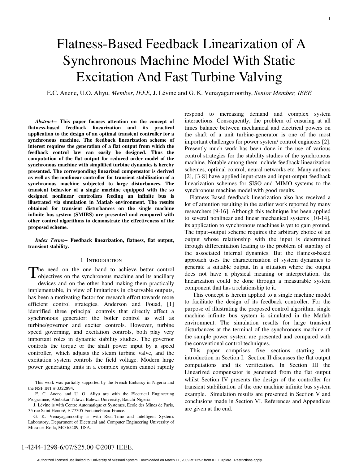# Flatness-Based Feedback Linearization of A Synchronous Machine Model With Static Excitation And Fast Turbine Valving

E.C. Anene, U.O. Aliyu, *Member, IEEE*, J. Lévine and G. K. Venayagamoorthy, *Senior Member, IEEE*

*Abstract***-- This paper focuses attention on the concept of flatness-based feedback linearization and its practical application to the design of an optimal transient controller for a synchronous machine. The feedback linearization scheme of interest requires the generation of a flat output from which the feedback control law can easily be designed. Thus the computation of the flat output for reduced order model of the synchronous machine with simplified turbine dynamics is hereby presented. The corresponding linearized compensator is derived as well as the nonlinear controller for transient stabilization of a synchronous machine subjected to large disturbances. The transient behavior of a single machine equipped with the so designed nonlinear controllers feeding an infinite bus is illustrated via simulation in Matlab environment. The results obtained for transient disturbances on the single machine infinite bus system (SMIBS) are presented and compared with other control algorithms to demonstrate the effectiveness of the proposed scheme.** 

*Index Terms***-- Feedback linearization, flatness, flat output, transient stability.** 

#### I. INTRODUCTION

he need on the one hand to achieve better control The need on the one hand to achieve better control objectives on the synchronous machine and its ancillary devices and on the other hand making them practically implementable, in view of limitations in observable outputs, has been a motivating factor for research effort towards more efficient control strategies. Anderson and Fouad, [1] identified three principal controls that directly affect a synchronous generator: the boiler control as well as turbine/governor and exciter controls. However, turbine speed governing, and excitation controls, both play very important roles in dynamic stability studies. The governor controls the torque or the shaft power input by a speed controller, which adjusts the steam turbine valve, and the excitation system controls the field voltage. Modern large power generating units in a complex system cannot rapidly

respond to increasing demand and complex system interactions. Consequently, the problem of ensuring at all times balance between mechanical and electrical powers on the shaft of a unit turbine-generator is one of the most important challenges for power system/ control engineers [2]. Presently much work has been done in the use of various control strategies for the stability studies of the synchronous machine. Notable among them include feedback linearization schemes, optimal control, neural networks etc. Many authors [2], [3-8] have applied input-state and input-output feedback linearization schemes for SISO and MIMO systems to the synchronous machine model with good results.

Flatness-Based feedback linearization also has received a lot of attention resulting in the earlier work reported by many researchers [9-16]. Although this technique has been applied to several nonlinear and linear mechanical systems [10-14], its application to synchronous machines is yet to gain ground. The input–output scheme requires the arbitrary choice of an output whose relationship with the input is determined through differentiation leading to the problem of stability of the associated internal dynamics. But the flatness-based approach uses the characterization of system dynamics to generate a suitable output. In a situation where the output does not have a physical meaning or interpretation, the linearization could be done through a measurable system component that has a relationship to it.

 This concept is herein applied to a single machine model to facilitate the design of its feedback controller. For the purpose of illustrating the proposed control algorithm, single machine infinite bus system is simulated in the Matlab environment. The simulation results for large transient disturbances at the terminal of the synchronous machine of the sample power system are presented and compared with the conventional control techniques.

This paper comprises five sections starting with introduction in Section I. Section II discusses the flat output computations and its verification. In Section III the Linearized compensator is generated from the flat output whilst Section IV presents the design of the controller for transient stabilization of the one machine infinite bus system example. Simulation results are presented in Section V and conclusions made in Section VI. References and Appendices are given at the end.

This work was partially supported by the French Embassy in Nigeria and the NSF INT # 0322894.

E. C. Anene and U. O. Aliyu are with the Electrical Engineering Programme, Abubakar Tafawa Balewa University, Bauchi-Nigeria.

J. Lévine is with Centre Automatique et Systèmes, Ecole des Mines de Paris, 35 rue Saint Honoré, F-77305 Fontainebleau-France.

G. K. Venayagamoorthy is with Real-Time and Intelligent Systems Laboratory, Department of Electrical and Computer Engineering University of Missouri-Rolla, MO 65409, USA.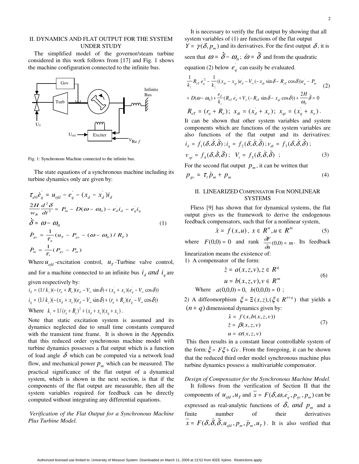#### II. DYNAMICS AND FLAT OUTPUT FOR THE SYSTEM UNDER STUDY

The simplified model of the governor/steam turbine considered in this work follows from [17] and Fig. 1 shows the machine configuration connected to the infinite bus.



Fig. 1: Synchronous Machine connected to the infinite bus.

The state equations of a synchronous machine including its turbine dynamics only are given by:

$$
\tau_{d0} \dot{e}_q = u_{efd} - e_q - (x_d - x_d) i_d
$$
\n
$$
\frac{2H}{w_R} \frac{d^2 \delta}{dt^2} = P_m - D(\omega - \omega_0) - e_d i_d - e_q i_q
$$
\n
$$
\dot{\delta} = \omega - \omega_0 \tag{1}
$$
\n
$$
\dot{P}_{gv} = \frac{1}{\tau_g} (u_T - P_{gv} - (\omega - \omega_0) / R_T)
$$
\n
$$
\dot{P}_m = \frac{1}{\tau_f} (P_{gv} - P_m)
$$
\nWhere  $u_{efd}$ -excitation control,  $u_T$ -Turbine valve control,

 $\frac{1}{\sqrt{2}}$ and for a machine connected to an infinite bus  $i_d$  and  $i_q$  are given respectively by:

$$
i_{d} = (1/k_{z})(-(r_{a} + R_{e})(e_{d} - V_{\infty} \sin \delta) + (x_{q} + x_{e})(e_{q} - V_{\infty} \cos \delta))
$$
  
\n
$$
i_{q} = (1/k_{z})(-(x_{d} + x_{e})(e_{d} - V_{\infty} \sin \delta) + (r_{a} + R_{e})(e_{q} - V_{\infty} \cos \delta))
$$
  
\nWhere  $k_{z} = 1/(r_{a} + R_{e})^{2} + (x_{d} + x_{e})(x_{q} + x_{e}).$ 

Note that static excitation system is assumed and its dynamics neglected due to small time constants compared with the transient time frame. It is shown in the Appendix that this reduced order synchronous machine model with turbine dynamics possesses a flat output which is a function of load angle  $\delta$  which can be computed via a network load flow, and mechanical power  $p_m$  which can be measured. The practical significance of the flat output of a dynamical system, which is shown in the next section, is that if the components of the flat output are measurable, then all the system variables required for feedback can be directly computed without integrating any differential equations.

 *Verification of the Flat Output for a Synchronous Machine Plus Turbine Model.* 

It is necessary to verify the flat output by showing that all system variables of (1) are functions of the flat output *Y* =  $\gamma(\delta, p_m)$  and its derivatives. For the first output  $\delta$ , it is equation (2) below  $e_q^{\dagger}$  can easily be evaluated.

\n Given that 
$$
\omega = \delta - \omega_0
$$
;  $\omega = \delta$  and from the quadratic equation (2) below  $e_q$  can easily be evaluated.\n

\n\n
$$
\frac{1}{k_z} R_{\epsilon r} e_q^2 - \frac{1}{k_z} \left( (x_{\alpha} - x_{\alpha}) e_d - V_{\infty} (-x_{\alpha} \sin \delta - R_{\epsilon r} \cos \delta) \right) e_q - P_m
$$
\n

\n\n (2)\n

\n\n ∴ 
$$
D(\omega - \omega_0) + \frac{e_d}{k_z} (R_{\epsilon r} e_d + V_{\infty} (-R_{\epsilon r} \sin \delta - x_{\alpha r} \cos \delta)) + \frac{2H}{\omega_0} \delta = 0
$$
\n

\n\n ∩ 
$$
R_{\epsilon r} = (r_a + R_e)
$$
;  $x_{\alpha t} = (x_d + x_e)$ ;  $x_{\alpha t} = (x_q + x_e)$ .\n

\n\n It can be shown that other system variables and system components which are functions of the system variables are\n

It can be shown that other system variables and system components which are functions of the system variables are also functions of the flat output and its derivatives:  $i = f(\delta \delta \delta)$ ;  $i = f(\delta \delta \delta)$ ;  $v = f(\delta \delta \delta)$ ;

$$
i_d = f_1(\delta, \delta, \delta); i_q = f_2(\delta, \delta, \delta); v_{dt} = f_3(\delta, \delta, \delta);
$$
  
\n
$$
v_{qt} = f_4(\delta, \delta, \delta); V_t = f_5(\delta, \delta, \delta);
$$
  
\nFor the second flat output  $p_m$ , it can be written that  
\n
$$
p_{gv} = \tau_t \dot{p}_m + p_m
$$
\n(4)

For the second flat output  $p_m$ , it can be written that

$$
v_{qt} = f_4(\delta, \delta, \delta); \quad V_t = f_5(\delta, \delta, \delta) ; \tag{3}
$$
  
For the second flat output  $p_m$ , it can be written that  

$$
p_{gv} = \tau_t \dot{p}_m + p_m \tag{4}
$$
  
II. LINEARIZED COMPENSATOR FOR NONLINEAR

#### II. LINEARIZED COMPENSATOR FOR NONLINEAR SYSTEMS

 $\dot{p}_m + p_m$  (4)<br>
NEARIZED COMPENSATOR FOR NONLINEAR<br>
SYSTEMS<br>
9] has shown that for dynamical systems, the flat<br>
es us the framework to derive the endogenous Fliess [9] has shown that for dynamical systems, the flat output gives us the framework to derive the endogenous feedback compensators, such that for a nonlinear system,

$$
\dot{x} = f(x, u), \ x \in R^n, u \in R^m \tag{5}
$$

 $\dot{x} = f(x, u)$ ,  $x \in R^n$ ,  $u \in R^m$  (5)<br>
(5)<br>
(0)) = 0 and rank  $\frac{\partial F}{\partial u}(0, 0) = m$ . Its feedback<br>
means the existence of:<br>
sator of the form:<br>  $\dot{z} = a(x, z, v), z \in R^q$ where  $F(0,0) = 0$  and rank  $\frac{\partial F}{\partial x}$  $\frac{dF}{dt}(0,0) = m$ . Its feedback linearization means the existence of:

1) A compensator of the form:

$$
\dot{z} = a(x, z, v), z \in R^{q}
$$
\n
$$
u = b(x, z, v), v \in R^{m}
$$
\nWhere  $a(0, 0, 0) = 0$ ,  $b(0, 0, 0) = 0$ ;  
\n
$$
\text{diffeomorphism } \xi = \Xi(x, z), (\xi \in R^{n+q}) \text{ that yields a}
$$
\n
$$
q \text{)} \text{dimensional dynamics given by:}
$$

2) A diffeomorphism  $\xi = \Xi(x, z), (\xi \in R^{n+q})$  that yields a  $(n + q)$  dimensional dynamics given by:

$$
\dot{x} = f(x, b(x, z, v))
$$
  
\n
$$
\dot{z} = \beta(x, z, v)
$$
 (7)  
\n
$$
u = \alpha(x, z, v)
$$
  
\n
$$
\dot{z} = \beta(x, z, v)
$$
  
\n
$$
\dot{z} = \alpha(x, z, v)
$$
  
\nFrom the foregoing, it can be shown

 $\dot{z} = \beta(x, z, v)$ <br>  $u = \alpha(x, z, v)$ <br>
in a constant<br>  $Gv$ . From the irred order mode This then results in a constant linear controllable system of the form:  $\xi = F\xi + Gv$ . From the foregoing, it can be shown  $\frac{1}{2}$  d n d v that the reduced third order model synchronous machine plus turbine dynamics possess a multivariable compensator.

## *Design of Compensator for the Synchronous Machine Model.*  It follows from the verification of Section II that the components of  $u_{efd}$ ,  $u_T$  and  $\overline{x} = F(\delta, \omega, e_q, p_{\text{av}}, p_m)$  can be expressed as real-analytic functions of  $\delta$ , and  $p_m$  and a

finite number of their derivatives  $x = F(\delta, \delta, \delta, u_{efd}, p_m, \dot{p}_m, u_T)$ . It is also verified that<br>p9 at 13:52 from IEEE Xplore. Restrictions apply.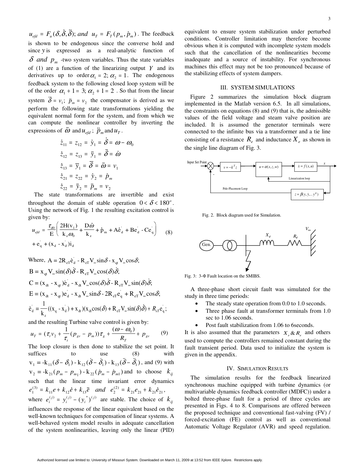*u<sub>efd</sub>* =  $F_u(\delta, \delta, \delta)$ ; and  $u_T = F_T(p_m, p_m)$ . The feedback is shown to be endogenous since the converse hold and since *y* is expressed as a real-analytic function of  $\delta$  *and*  $p_m$  -two system variables. Thus the state v is shown to be endogenous since the converse hold and since *y* is expressed as a real-analytic function of  $\delta$  *and p<sub>m</sub>* -two system variables. Thus the state variables of (1) are a function of the linearizing output *Y* and its derivatives up to order  $\alpha_1 = 2$ ;  $\alpha_2 = 1$ . The endogenous feedback system to the following closed loop system will be of the order  $\alpha_1 + 1 = 3$ ;  $\alpha_2 + 1 = 2$ . So that from the linear system  $\delta = v_1$ ;  $\dot{p}_m = v_2$  the compensator is derived as we perform the following state transformations yielding the equivalent normal form for the system, and from which we can compute the nonlinear controller by inve perform the following state transformations yielding the equivalent normal form for the system, and from which we can compute the nonlinear controller by inverting the

expressions of 
$$
\vec{\omega}
$$
 and  $u_{efd}$ ;  $\ddot{p}_m$  and  $u_T$ .  
\n
$$
\dot{z}_{11} = z_{12} = \dot{y}_1 = \dot{\delta} = \omega - \omega_0
$$
\n
$$
\dot{z}_{12} = z_{13} = \ddot{y}_1 = \ddot{\delta} = \dot{\omega}
$$
\n
$$
\dot{z}_{13} = \ddot{y}_1 = \ddot{\delta} = \ddot{\omega} = v_1
$$
\n
$$
\dot{z}_{21} = z_{22} = \dot{y}_2 = \dot{p}_m
$$
\n
$$
\dot{z}_{22} = \ddot{y}_2 = \ddot{p}_m = v_2
$$
\nThe state transformations are inverti throughout the domain of stable operation

 $\ddot{z}_{22} = \ddot{y}_2 = \ddot{p}_m = v$ <br>transformations<br>ne domain of stable<br>work of Fig. 1 the re  $\frac{V_{22} + V_2}{V_{12}}$  transformation<br>the domain of work of Fig. 1<br>2H(v<sub>1</sub>) D*io* The state transformations are invertible and exist throughout the domain of stable operation  $0 < \delta < 180^\circ$ . Using the network of Fig. 1 the resulting excitation control is given by:

$$
u_{\text{efd}} = \frac{\tau_{d0}}{E} \left( \frac{2H(v_1)}{k_z \omega_0} + \frac{D\omega}{k_z} + \dot{p}_m + Ae_d + Be_d - Ce_q \right) \tag{8}
$$
  
+  $e_q + (x_d - x_d)i_d$   
Where,  $A = 2R_{eT}e_d - R_{eT}V_{\infty} \sin \delta - x_{qt}V_{\infty} \cos \delta;$ 

Where, 
$$
A = 2R_{eT}e_d - R_{eT}V_{\infty} \sin \delta - x_{qt}V_{\infty} \cos \delta
$$
;  
\n $B = x_{qt}V_{\infty} \sin(\delta)\delta - R_{eT}V_{\infty} \cos(\delta)\delta$ ;  
\n $C = (x_{dt} - x_{qt})e_d - x_{dt}V_{\infty} \cos(\delta)\delta - R_{eT}V_{\infty} \sin(\delta)\delta$ ;  
\n $E = (x_{dt} - x_{qt})e_d - x_{dt}V_{\infty} \sin \delta - 2R_{eT}e_q + R_{eT}V_{\infty} \cos \delta$ ;  
\n $e_d = \frac{1}{k_z}((x_q - x_d) + x_{dt})(x_{dt} \cos(\delta) + R_{eT}V_{\infty} \sin(\delta)\delta) + R_{eT}e_q$ ;  
\nand the resulting Turbine valve control is given by:

and the resulting Turbine valve control is given by:

$$
\dot{e}_{d} = \frac{1}{k_{z}} ((x_{q} - x_{d}) + x_{dt})(x_{dt} \cos(\delta) + R_{eT} V_{\infty} \sin(\delta)\delta) + R_{eT} e_{q};
$$
  
and the resulting Turbine valve control is given by:  

$$
u_{T} = (\tau_{t} v_{2} + \frac{1}{\tau_{t}} (p_{gv} - p_{m})) \tau_{g} + \frac{(\omega - \omega_{0})}{R_{T}} + p_{gv}
$$
(9)  
The loop closure is then done to stabilize the set point.

The loop closure is then done to stabilize the set point. It suffices to use (8) with  $v_1 = -k_{11} (\delta - \delta_1) - k_{12} (\delta - \delta_1) - k_{13} (\delta - \delta_1)$  $\delta - \delta_1$ ) -  $k_{13}(\delta - \delta_1)$ , and (9) with<br>  $_{22}(p_m - p_{m1})$  and to choose  $k_{ij}$ <br>
time invariant error dynamics<br>
and  $e_2^{(2)} = k_{21}e_{21} + k_{21}e_{21}$ ,<br>
(*i*) are stable. The choice of  $k_{ij}$  $v_2 = -k_{21} (p_m - p_{m_1}) - k_{22} (p_m - p_{m_1})$  and to choose  $k_{ij}$  $p_m - p_{m1}$ ) and to choose  $k_{ij}$ <br>
ie invariant error dynamics<br> *nd*  $e_2^{(2)} = k_{21}e_{21} + k_{21}e_{21}$ ,<br>
are stable. The choice of  $k_{ij}$ <br>
e linear equivalent based on the<br>
means of linear systems such that the linear time invariant error dynamics  $e_1^{(3)} = k_{11}e + k_{12}e + k_{13}e$  and  $e_2^{(2)} = k_{21}e_{21} + k_{21}e_{21}$ ,<br>where  $e_i^{(j)} = y_i^{(j)} - (y_i^*)^{(j)}$  are stable. The choice of<br>influences the response of the linear equivalent based on<br>well-behaved system model results in where  $e_i^{(j)} = y_i^{(j)} - (y_i^*)^{(j)}$  are stable. The choice of  $k_{ij}$ influences the response of the linear equivalent based on the well-known techniques for compensation of linear systems. A well-behaved system model results in adequate cancellation of the system nonlinearities, leaving only the linear (PID)

equivalent to ensure system stabilization under perturbed conditions. Controller limitation may therefore become obvious when it is computed with incomplete system models such that the cancellation of the nonlinearities become inadequate and a source of instability. For synchronous machines this effect may not be too pronounced because of the stabilizing effects of system dampers.

#### III. SYSTEM SIMULATIONS

 Figure 2 summarizes the simulation block diagram implemented in the Matlab version 6.5. In all simulations, the constraints on equations (8) and (9) that is, the admissible values of the field voltage and steam valve position are included. It is assumed the generator terminals were connected to the infinite bus via a transformer and a tie line consisting of a resistance  $R_{\rho}$  and inductance  $X_{\rho}$  as shown in the single line diagram of Fig. 3.



Fig. 2. Block diagram used for Simulation.



Fig. 3: 3-Φ Fault location on the SMIBS.

A three-phase short circuit fault was simulated for the study in three time periods:

- The steady state operation from 0.0 to 1.0 seconds.
- Three phase fault at transformer terminals from 1.0 sec to 1.06 seconds.
- Post fault stabilization from 1.06 to 6seconds.

It is also assumed that the parameters  $X_{\rho} \& R_{\rho}$  and others used to compute the controllers remained constant during the fault transient period. Data used to initialize the system is given in the appendix.

#### IV. SIMULATION RESULTS

The simulation results for the feedback linearized synchronous machine equipped with turbine dynamics (or multivariable dynamics feedback controller (MDFC)) under a bolted three-phase fault for a period of three cycles are presented in Figs. 4 to 8. Comparisons are offered between the proposed technique and conventional fast-valving (FV) / forced-excitation (FE) control as well as conventional Automatic Voltage Regulator (AVR) and speed regulation.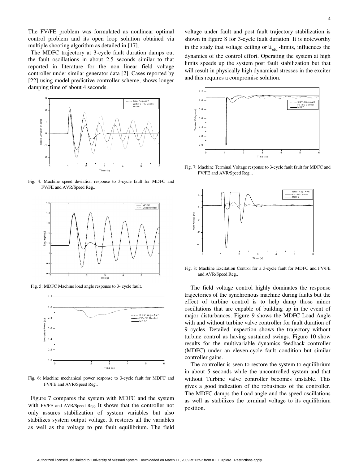The FV/FE problem was formulated as nonlinear optimal control problem and its open loop solution obtained via multiple shooting algorithm as detailed in [17].

The MDFC trajectory at 3-cycle fault duration damps out the fault oscillations in about 2.5 seconds similar to that reported in literature for the non linear field voltage controller under similar generator data [2]. Cases reported by [22] using model predictive controller scheme, shows longer damping time of about 4 seconds.



Fig. 4: Machine speed deviation response to 3-cycle fault for MDFC and FV/FE and AVR/Speed Reg..



Fig. 5: MDFC Machine load angle response to 3- cycle fault.



Fig. 6: Machine mechanical power response to 3-cycle fault for MDFC and FV/FE and AVR/Speed Reg..

Figure 7 compares the system with MDFC and the system with FV/FE and AVR/Speed Reg. It shows that the controller not only assures stabilization of system variables but also stabilizes system output voltage. It restores all the variables as well as the voltage to pre fault equilibrium. The field voltage under fault and post fault trajectory stabilization is shown in figure 8 for 3-cycle fault duration. It is noteworthy in the study that voltage ceiling or  $u_{\text{efd}}$  -limits, influences the dynamics of the control effort. Operating the system at high limits speeds up the system post fault stabilization but that will result in physically high dynamical stresses in the exciter and this requires a compromise solution.



Fig. 7: Machine Terminal Voltage response to 3-cycle fault fault for MDFC and FV/FE and AVR/Speed Reg...



Fig. 8: Machine Excitation Control for a 3-cycle fault for MDFC and FV/FE and AVR/Speed Reg..

 The field voltage control highly dominates the response trajectories of the synchronous machine during faults but the effect of turbine control is to help damp those minor oscillations that are capable of building up in the event of major disturbances. Figure 9 shows the MDFC Load Angle with and without turbine valve controller for fault duration of 9 cycles. Detailed inspection shows the trajectory without turbine control as having sustained swings. Figure 10 show results for the multivariable dynamics feedback controller (MDFC) under an eleven-cycle fault condition but similar controller gains.

The controller is seen to restore the system to equilibrium in about 5 seconds while the uncontrolled system and that without Turbine valve controller becomes unstable. This gives a good indication of the robustness of the controller. The MDFC damps the Load angle and the speed oscillations as well as stabilizes the terminal voltage to its equilibrium position.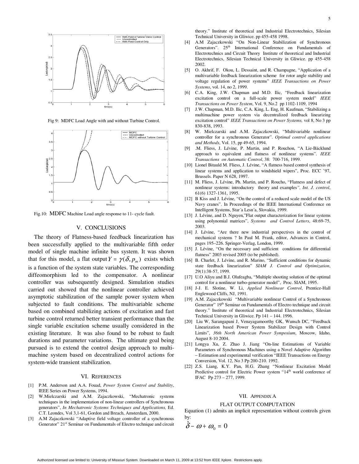

Fig 9: MDFC Load Angle with and without Turbine Control.



Fig.10: MDFC Machine Load angle response to 11- cycle fault.

#### V. CONCLUSIONS

The theory of Flatness-based feedback linearization has been successfully applied to the multivariable fifth order model of single machine infinite bus system. It was shown that for this model, a flat output  $Y = \gamma(\delta, p_m)$  exists which is a function of the system state variables. The corresponding diffeomorphism led to the compensator. A nonlinear controller was subsequently designed. Simulation studies carried out showed that the nonlinear controller achieved asymptotic stabilization of the sample power system when subjected to fault conditions. The multivariable scheme based on combined stabilizing actions of excitation and fast turbine control returned better transient performance than the single variable excitation scheme usually considered in the existing literature. It was also found to be robust to fault durations and parameter variations. The ultimate goal being pursued is to extend the control design approach to multimachine system based on decentralized control actions for system-wide transient stabilization.

#### VI. REFERENCES

- [1] P.M. Anderson and A.A. Fouad, *Power System Control and Stability*, IEEE Series on Power Systems, 1994.
- [2] W.Mielczarski and A.M. Zajaczkowski, "Mechatronic systems techniques in the implementation of non-linear controllers of Synchronous generators", *In Mechatronic Systems Techniques and Applications,* Ed. C.T. Leondes, Vol 3,1-61, Gordon and Breach, Amsterdam, 2000.
- [3] A.M Zajaczkowski "Adaptive field voltage controller of a synchronous Generator" 21<sup>st</sup> Seminar on Fundamentals of Electro technique and circuit

theory." Institute of theoretical and Industrial Electrotechnics, Silesian Technical University in Gliwice. pp 455-458 1998.

- [4] A.M Zajaczkowski "On Non-Linear Stabilization of Synchronous Generators". 25<sup>th</sup> International Conference on Fundamentals of Electrotechnics and Circuit Theory Institute of theoretical and Industrial Electrotechnics, Silesian Technical University in Gliwice. pp 455-458 2002.
- [5] O. Akhrif, F. Okou, L. Dessaint, and R. Champagne, "Application of a multivariable feedback linearization scheme for rotor angle stability and voltage regulation of power systems" *IEEE Transactions on Power Systems*, vol. 14, no 2, 1999.
- [6] C.A. King, J.W. Chapman and M.D. Ilic, "Feedback linearization excitation control on a full-scale power system model" *IEEE Transactions on Power System*, Vol. 9, No.2 pp 1102-1109, 1994
- [7] J.W. Chapman, M.D. Ilic, C.A. King, L. Eng, H. Kaufman, "Stabilizing a multimachine power system via decentralized feedback linearizing excitation control" *IEEE Transactions on Power Systems,* vol 8, No 3 pp 830-838, 1993.
- [8] W. Mielczarski and A.M. Zajaczkowski, "Multivariable nonlinear controller for a synchronous Generator". *Optimal control applications and Methods*, Vol. 15, pp 49-65, 1994.
- [9] .M. Fliess, J. Lévine, P. Martin, and P. Rouchon, "A Lie-Bäcklund approach to equivalent and flatness of nonlinear systems". *IEEE Transactions on Automatic Control*, 38: 700-716, 1999.
- [10] Lionel Bitauld M. Fliess, J. Lévine, "A flatness based control synthesis of linear systems and application to windshield wipers", Proc. ECC '97, Brussels. Paper N 628, 1997.
- [11] M. Fliess, J. Lévine, Ph. Martin, and P. Roucho, "Flatness and defect of nonlinear systems: introductory theory and examples*", Int. J. control*, 61(6) 1327-1361, 1995.
- [12] B Kiss and J. Lévine, "On the control of a reduced scale model of the US Navy cranes". In Proceedings of the IEEE International Conference on Intelligent Systems, Star´a Lesn´a, Slovakia, 1999.
- [13] J. Lévine, and D. Nguyen,"Flat output characterization for linear systems using polynomial matrices", *Systems and Control Letters*, 48:69-75, 2003.
- [14] J. Lévine, "Are there new industrial perspectives in the control of mechanical systems ? In Paul M. Frank, editor, Advances in Control, pages 195–226. Springer-Verlag, London, 1999.
- [15] J. Lévine, "On the necessary and sufficient conditions for differential flatness" 2003 revised 2005 (to be published).
- [16] B. Charlet, J. Lévine, and R. Marino, "Sufficient conditions for dynamic state feedback linearization" *SIAM J. Control and Optimization*, 29(1):38-57, 1999.
- [17] U.O Aliyu and B.J. Olufeagba, "Multiple shooting solution of the optimal control for a nonlinear turbo-generator model", Proc. SIAM, 1995.
- [18] J-J. E. Slotine, W. Li, *Applied Nonlinear Control*, Prentice-Hall Englewood Cliffs, NJ, 1991.
- [19] A.M. Zajaczkowski "Multivariable nonlinear Control of a Synchronous Generator" 19<sup>th</sup> Seminar on Fundamentals of Electro technique and circuit theory." Institute of theoretical and Industrial Electrotechnics, Silesian Technical University in Gliwice. Pp 141 – 144. 1996.
- [20] Liu W, Sarangapani J, Venayagamoorthy GK, Wunsch DC, "Feedback Linearization based Power System Stabilizer Design with Control Limits", *36th North American Power Symposium*, Moscow, Idaho, August 8-10 2004.
- [21] Longya Xu, Z. Zhao J. Jiang "On-line Estimations of Variable Parameters of Synchronous Machines using a Novel Adaptive Algorithm – Estimation and experimental verification "IEEE Transactions on Energy Conversion, Vol. 12, No 3 Pp 200-210. 1992.
- [22] Z.S. Liang, K.Y. Pan, H.G. Zhang "Nonlinear Excitation Model Predictive control for Electric Power system "14<sup>th</sup> world conference of IFAC Pp 273 – 277, 1999.

#### VII. APPENDIX A

#### FLAT OUTPUT COMPUTATION

Equation (1) admits an implicit representation without controls given by:

$$
\delta-\omega+\omega_0=0
$$